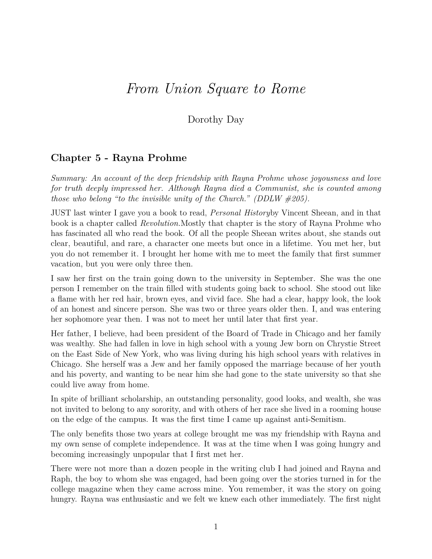## *From Union Square to Rome*

## Dorothy Day

## **Chapter 5 - Rayna Prohme**

*Summary: An account of the deep friendship with Rayna Prohme whose joyousness and love for truth deeply impressed her. Although Rayna died a Communist, she is counted among those who belong "to the invisible unity of the Church." (DDLW #205).*

JUST last winter I gave you a book to read, *Personal History*by Vincent Sheean, and in that book is a chapter called *Revolution.*Mostly that chapter is the story of Rayna Prohme who has fascinated all who read the book. Of all the people Sheean writes about, she stands out clear, beautiful, and rare, a character one meets but once in a lifetime. You met her, but you do not remember it. I brought her home with me to meet the family that first summer vacation, but you were only three then.

I saw her first on the train going down to the university in September. She was the one person I remember on the train filled with students going back to school. She stood out like a flame with her red hair, brown eyes, and vivid face. She had a clear, happy look, the look of an honest and sincere person. She was two or three years older then. I, and was entering her sophomore year then. I was not to meet her until later that first year.

Her father, I believe, had been president of the Board of Trade in Chicago and her family was wealthy. She had fallen in love in high school with a young Jew born on Chrystie Street on the East Side of New York, who was living during his high school years with relatives in Chicago. She herself was a Jew and her family opposed the marriage because of her youth and his poverty, and wanting to be near him she had gone to the state university so that she could live away from home.

In spite of brilliant scholarship, an outstanding personality, good looks, and wealth, she was not invited to belong to any sorority, and with others of her race she lived in a rooming house on the edge of the campus. It was the first time I came up against anti-Semitism.

The only benefits those two years at college brought me was my friendship with Rayna and my own sense of complete independence. It was at the time when I was going hungry and becoming increasingly unpopular that I first met her.

There were not more than a dozen people in the writing club I had joined and Rayna and Raph, the boy to whom she was engaged, had been going over the stories turned in for the college magazine when they came across mine. You remember, it was the story on going hungry. Rayna was enthusiastic and we felt we knew each other immediately. The first night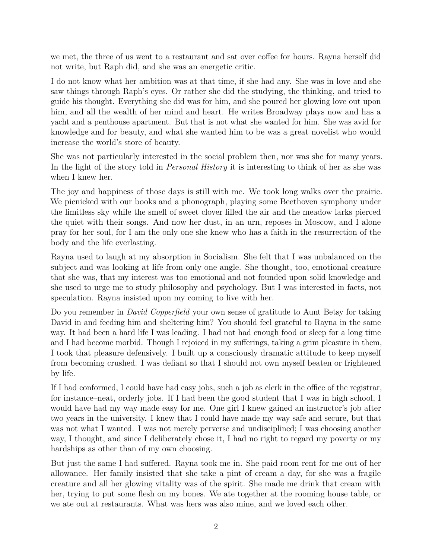we met, the three of us went to a restaurant and sat over coffee for hours. Rayna herself did not write, but Raph did, and she was an energetic critic.

I do not know what her ambition was at that time, if she had any. She was in love and she saw things through Raph's eyes. Or rather she did the studying, the thinking, and tried to guide his thought. Everything she did was for him, and she poured her glowing love out upon him, and all the wealth of her mind and heart. He writes Broadway plays now and has a yacht and a penthouse apartment. But that is not what she wanted for him. She was avid for knowledge and for beauty, and what she wanted him to be was a great novelist who would increase the world's store of beauty.

She was not particularly interested in the social problem then, nor was she for many years. In the light of the story told in *Personal History* it is interesting to think of her as she was when I knew her.

The joy and happiness of those days is still with me. We took long walks over the prairie. We picnicked with our books and a phonograph, playing some Beethoven symphony under the limitless sky while the smell of sweet clover filled the air and the meadow larks pierced the quiet with their songs. And now her dust, in an urn, reposes in Moscow, and I alone pray for her soul, for I am the only one she knew who has a faith in the resurrection of the body and the life everlasting.

Rayna used to laugh at my absorption in Socialism. She felt that I was unbalanced on the subject and was looking at life from only one angle. She thought, too, emotional creature that she was, that my interest was too emotional and not founded upon solid knowledge and she used to urge me to study philosophy and psychology. But I was interested in facts, not speculation. Rayna insisted upon my coming to live with her.

Do you remember in *David Copperfield* your own sense of gratitude to Aunt Betsy for taking David in and feeding him and sheltering him? You should feel grateful to Rayna in the same way. It had been a hard life I was leading. I had not had enough food or sleep for a long time and I had become morbid. Though I rejoiced in my sufferings, taking a grim pleasure in them, I took that pleasure defensively. I built up a consciously dramatic attitude to keep myself from becoming crushed. I was defiant so that I should not own myself beaten or frightened by life.

If I had conformed, I could have had easy jobs, such a job as clerk in the office of the registrar, for instance–neat, orderly jobs. If I had been the good student that I was in high school, I would have had my way made easy for me. One girl I knew gained an instructor's job after two years in the university. I knew that I could have made my way safe and secure, but that was not what I wanted. I was not merely perverse and undisciplined; I was choosing another way, I thought, and since I deliberately chose it, I had no right to regard my poverty or my hardships as other than of my own choosing.

But just the same I had suffered. Rayna took me in. She paid room rent for me out of her allowance. Her family insisted that she take a pint of cream a day, for she was a fragile creature and all her glowing vitality was of the spirit. She made me drink that cream with her, trying to put some flesh on my bones. We ate together at the rooming house table, or we ate out at restaurants. What was hers was also mine, and we loved each other.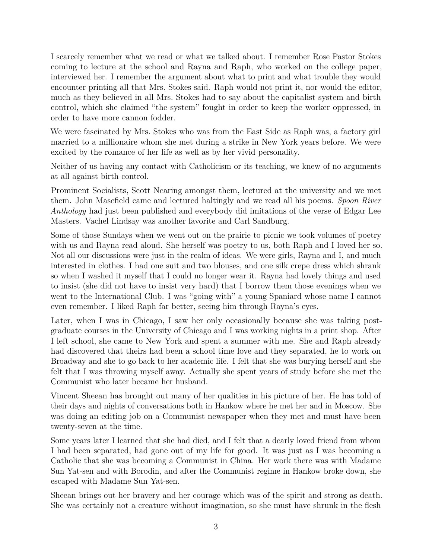I scarcely remember what we read or what we talked about. I remember Rose Pastor Stokes coming to lecture at the school and Rayna and Raph, who worked on the college paper, interviewed her. I remember the argument about what to print and what trouble they would encounter printing all that Mrs. Stokes said. Raph would not print it, nor would the editor, much as they believed in all Mrs. Stokes had to say about the capitalist system and birth control, which she claimed "the system" fought in order to keep the worker oppressed, in order to have more cannon fodder.

We were fascinated by Mrs. Stokes who was from the East Side as Raph was, a factory girl married to a millionaire whom she met during a strike in New York years before. We were excited by the romance of her life as well as by her vivid personality.

Neither of us having any contact with Catholicism or its teaching, we knew of no arguments at all against birth control.

Prominent Socialists, Scott Nearing amongst them, lectured at the university and we met them. John Masefield came and lectured haltingly and we read all his poems. *Spoon River Anthology* had just been published and everybody did imitations of the verse of Edgar Lee Masters. Vachel Lindsay was another favorite and Carl Sandburg.

Some of those Sundays when we went out on the prairie to picnic we took volumes of poetry with us and Rayna read aloud. She herself was poetry to us, both Raph and I loved her so. Not all our discussions were just in the realm of ideas. We were girls, Rayna and I, and much interested in clothes. I had one suit and two blouses, and one silk crepe dress which shrank so when I washed it myself that I could no longer wear it. Rayna had lovely things and used to insist (she did not have to insist very hard) that I borrow them those evenings when we went to the International Club. I was "going with" a young Spaniard whose name I cannot even remember. I liked Raph far better, seeing him through Rayna's eyes.

Later, when I was in Chicago, I saw her only occasionally because she was taking postgraduate courses in the University of Chicago and I was working nights in a print shop. After I left school, she came to New York and spent a summer with me. She and Raph already had discovered that theirs had been a school time love and they separated, he to work on Broadway and she to go back to her academic life. I felt that she was burying herself and she felt that I was throwing myself away. Actually she spent years of study before she met the Communist who later became her husband.

Vincent Sheean has brought out many of her qualities in his picture of her. He has told of their days and nights of conversations both in Hankow where he met her and in Moscow. She was doing an editing job on a Communist newspaper when they met and must have been twenty-seven at the time.

Some years later I learned that she had died, and I felt that a dearly loved friend from whom I had been separated, had gone out of my life for good. It was just as I was becoming a Catholic that she was becoming a Communist in China. Her work there was with Madame Sun Yat-sen and with Borodin, and after the Communist regime in Hankow broke down, she escaped with Madame Sun Yat-sen.

Sheean brings out her bravery and her courage which was of the spirit and strong as death. She was certainly not a creature without imagination, so she must have shrunk in the flesh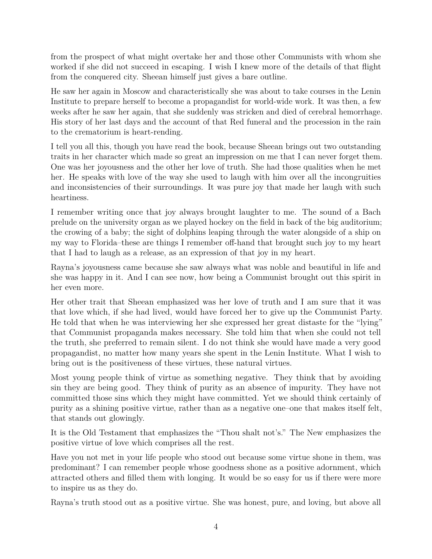from the prospect of what might overtake her and those other Communists with whom she worked if she did not succeed in escaping. I wish I knew more of the details of that flight from the conquered city. Sheean himself just gives a bare outline.

He saw her again in Moscow and characteristically she was about to take courses in the Lenin Institute to prepare herself to become a propagandist for world-wide work. It was then, a few weeks after he saw her again, that she suddenly was stricken and died of cerebral hemorrhage. His story of her last days and the account of that Red funeral and the procession in the rain to the crematorium is heart-rending.

I tell you all this, though you have read the book, because Sheean brings out two outstanding traits in her character which made so great an impression on me that I can never forget them. One was her joyousness and the other her love of truth. She had those qualities when he met her. He speaks with love of the way she used to laugh with him over all the incongruities and inconsistencies of their surroundings. It was pure joy that made her laugh with such heartiness.

I remember writing once that joy always brought laughter to me. The sound of a Bach prelude on the university organ as we played hockey on the field in back of the big auditorium; the crowing of a baby; the sight of dolphins leaping through the water alongside of a ship on my way to Florida–these are things I remember off-hand that brought such joy to my heart that I had to laugh as a release, as an expression of that joy in my heart.

Rayna's joyousness came because she saw always what was noble and beautiful in life and she was happy in it. And I can see now, how being a Communist brought out this spirit in her even more.

Her other trait that Sheean emphasized was her love of truth and I am sure that it was that love which, if she had lived, would have forced her to give up the Communist Party. He told that when he was interviewing her she expressed her great distaste for the "lying" that Communist propaganda makes necessary. She told him that when she could not tell the truth, she preferred to remain silent. I do not think she would have made a very good propagandist, no matter how many years she spent in the Lenin Institute. What I wish to bring out is the positiveness of these virtues, these natural virtues.

Most young people think of virtue as something negative. They think that by avoiding sin they are being good. They think of purity as an absence of impurity. They have not committed those sins which they might have committed. Yet we should think certainly of purity as a shining positive virtue, rather than as a negative one–one that makes itself felt, that stands out glowingly.

It is the Old Testament that emphasizes the "Thou shalt not's." The New emphasizes the positive virtue of love which comprises all the rest.

Have you not met in your life people who stood out because some virtue shone in them, was predominant? I can remember people whose goodness shone as a positive adornment, which attracted others and filled them with longing. It would be so easy for us if there were more to inspire us as they do.

Rayna's truth stood out as a positive virtue. She was honest, pure, and loving, but above all